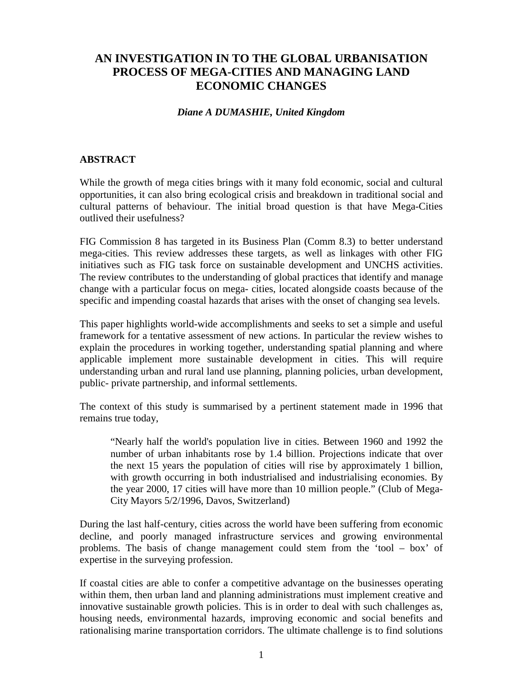## **AN INVESTIGATION IN TO THE GLOBAL URBANISATION PROCESS OF MEGA-CITIES AND MANAGING LAND ECONOMIC CHANGES**

## *Diane A DUMASHIE, United Kingdom*

## **ABSTRACT**

While the growth of mega cities brings with it many fold economic, social and cultural opportunities, it can also bring ecological crisis and breakdown in traditional social and cultural patterns of behaviour. The initial broad question is that have Mega-Cities outlived their usefulness?

FIG Commission 8 has targeted in its Business Plan (Comm 8.3) to better understand mega-cities. This review addresses these targets, as well as linkages with other FIG initiatives such as FIG task force on sustainable development and UNCHS activities. The review contributes to the understanding of global practices that identify and manage change with a particular focus on mega- cities, located alongside coasts because of the specific and impending coastal hazards that arises with the onset of changing sea levels.

This paper highlights world-wide accomplishments and seeks to set a simple and useful framework for a tentative assessment of new actions. In particular the review wishes to explain the procedures in working together, understanding spatial planning and where applicable implement more sustainable development in cities. This will require understanding urban and rural land use planning, planning policies, urban development, public- private partnership, and informal settlements.

The context of this study is summarised by a pertinent statement made in 1996 that remains true today,

"Nearly half the world's population live in cities. Between 1960 and 1992 the number of urban inhabitants rose by 1.4 billion. Projections indicate that over the next 15 years the population of cities will rise by approximately 1 billion, with growth occurring in both industrialised and industrialising economies. By the year 2000, 17 cities will have more than 10 million people." (Club of Mega-City Mayors 5/2/1996, Davos, Switzerland)

During the last half-century, cities across the world have been suffering from economic decline, and poorly managed infrastructure services and growing environmental problems. The basis of change management could stem from the 'tool – box' of expertise in the surveying profession.

If coastal cities are able to confer a competitive advantage on the businesses operating within them, then urban land and planning administrations must implement creative and innovative sustainable growth policies. This is in order to deal with such challenges as, housing needs, environmental hazards, improving economic and social benefits and rationalising marine transportation corridors. The ultimate challenge is to find solutions